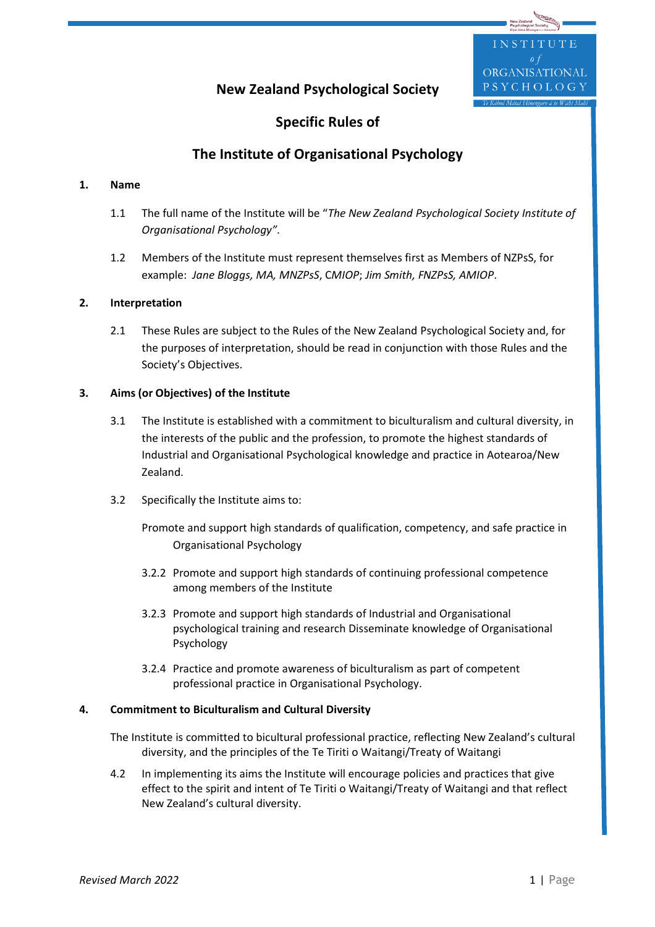#### ORGANISATIONAL YCHOLOGY **New Zealand Psychological Society**

UTE

# **Specific Rules of**

## **The Institute of Organisational Psychology**

## **1. Name**

- 1.1 The full name of the Institute will be "*The New Zealand Psychological Society Institute of Organisational Psychology"*.
- 1.2 Members of the Institute must represent themselves first as Members of NZPsS, for example: *Jane Bloggs, MA, MNZPsS*, C*MIOP*; *Jim Smith, FNZPsS, AMIOP*.

## **2. Interpretation**

2.1 These Rules are subject to the Rules of the New Zealand Psychological Society and, for the purposes of interpretation, should be read in conjunction with those Rules and the Society's Objectives.

## **3. Aims (or Objectives) of the Institute**

- 3.1 The Institute is established with a commitment to biculturalism and cultural diversity, in the interests of the public and the profession, to promote the highest standards of Industrial and Organisational Psychological knowledge and practice in Aotearoa/New Zealand.
- 3.2 Specifically the Institute aims to:

Promote and support high standards of qualification, competency, and safe practice in Organisational Psychology

- 3.2.2 Promote and support high standards of continuing professional competence among members of the Institute
- 3.2.3 Promote and support high standards of Industrial and Organisational psychological training and research Disseminate knowledge of Organisational Psychology
- 3.2.4 Practice and promote awareness of biculturalism as part of competent professional practice in Organisational Psychology.

#### **4. Commitment to Biculturalism and Cultural Diversity**

- The Institute is committed to bicultural professional practice, reflecting New Zealand's cultural diversity, and the principles of the Te Tiriti o Waitangi/Treaty of Waitangi
- 4.2 In implementing its aims the Institute will encourage policies and practices that give effect to the spirit and intent of Te Tiriti o Waitangi/Treaty of Waitangi and that reflect New Zealand's cultural diversity.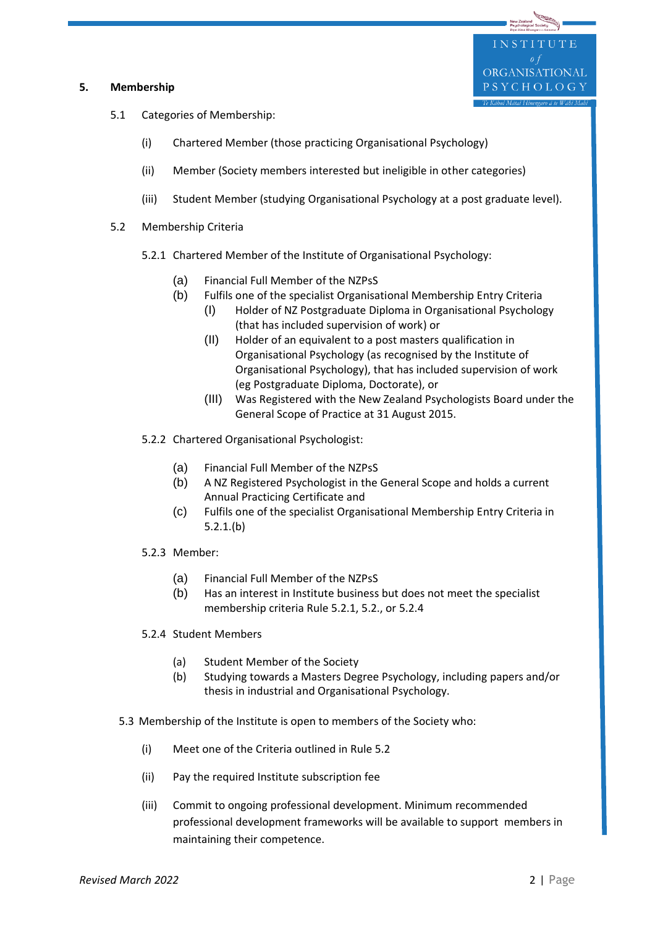#### **5. Membership**

- 5.1 Categories of Membership:
	- (i) Chartered Member (those practicing Organisational Psychology)
	- (ii) Member (Society members interested but ineligible in other categories)
	- (iii) Student Member (studying Organisational Psychology at a post graduate level).
- 5.2 Membership Criteria
	- 5.2.1 Chartered Member of the Institute of Organisational Psychology:
		- (a) Financial Full Member of the NZPsS
		- (b) Fulfils one of the specialist Organisational Membership Entry Criteria
			- (I) Holder of NZ Postgraduate Diploma in Organisational Psychology (that has included supervision of work) or
			- (II) Holder of an equivalent to a post masters qualification in Organisational Psychology (as recognised by the Institute of Organisational Psychology), that has included supervision of work (eg Postgraduate Diploma, Doctorate), or
			- (III) Was Registered with the New Zealand Psychologists Board under the General Scope of Practice at 31 August 2015.
	- 5.2.2 Chartered Organisational Psychologist:
		- (a) Financial Full Member of the NZPsS
		- (b) A NZ Registered Psychologist in the General Scope and holds a current Annual Practicing Certificate and
		- (c) Fulfils one of the specialist Organisational Membership Entry Criteria in 5.2.1.(b)
	- 5.2.3 Member:
		- (a) Financial Full Member of the NZPsS
		- (b) Has an interest in Institute business but does not meet the specialist membership criteria Rule 5.2.1, 5.2., or 5.2.4
	- 5.2.4 Student Members
		- (a) Student Member of the Society
		- (b) Studying towards a Masters Degree Psychology, including papers and/or thesis in industrial and Organisational Psychology.
	- 5.3 Membership of the Institute is open to members of the Society who:
		- (i) Meet one of the Criteria outlined in Rule 5.2
		- (ii) Pay the required Institute subscription fee
		- (iii) Commit to ongoing professional development. Minimum recommended professional development frameworks will be available to support members in maintaining their competence.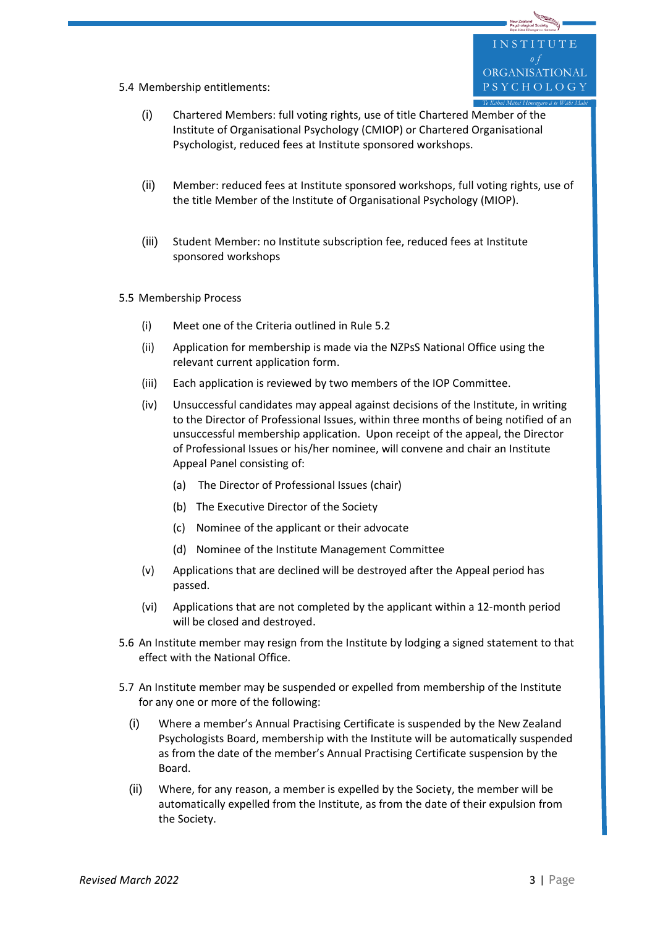UTE ORGANISATIONAL PSYCHOLOGY

- 5.4 Membership entitlements:
	- (i) Chartered Members: full voting rights, use of title Chartered Member of the Institute of Organisational Psychology (CMIOP) or Chartered Organisational Psychologist, reduced fees at Institute sponsored workshops.
	- (ii) Member: reduced fees at Institute sponsored workshops, full voting rights, use of the title Member of the Institute of Organisational Psychology (MIOP).
	- (iii) Student Member: no Institute subscription fee, reduced fees at Institute sponsored workshops
- 5.5 Membership Process
	- (i) Meet one of the Criteria outlined in Rule 5.2
	- (ii) Application for membership is made via the NZPsS National Office using the relevant current application form.
	- (iii) Each application is reviewed by two members of the IOP Committee.
	- (iv) Unsuccessful candidates may appeal against decisions of the Institute, in writing to the Director of Professional Issues, within three months of being notified of an unsuccessful membership application. Upon receipt of the appeal, the Director of Professional Issues or his/her nominee, will convene and chair an Institute Appeal Panel consisting of:
		- (a) The Director of Professional Issues (chair)
		- (b) The Executive Director of the Society
		- (c) Nominee of the applicant or their advocate
		- (d) Nominee of the Institute Management Committee
	- (v) Applications that are declined will be destroyed after the Appeal period has passed.
	- (vi) Applications that are not completed by the applicant within a 12-month period will be closed and destroyed.
- 5.6 An Institute member may resign from the Institute by lodging a signed statement to that effect with the National Office.
- 5.7 An Institute member may be suspended or expelled from membership of the Institute for any one or more of the following:
	- (i) Where a member's Annual Practising Certificate is suspended by the New Zealand Psychologists Board, membership with the Institute will be automatically suspended as from the date of the member's Annual Practising Certificate suspension by the Board.
	- (ii) Where, for any reason, a member is expelled by the Society, the member will be automatically expelled from the Institute, as from the date of their expulsion from the Society.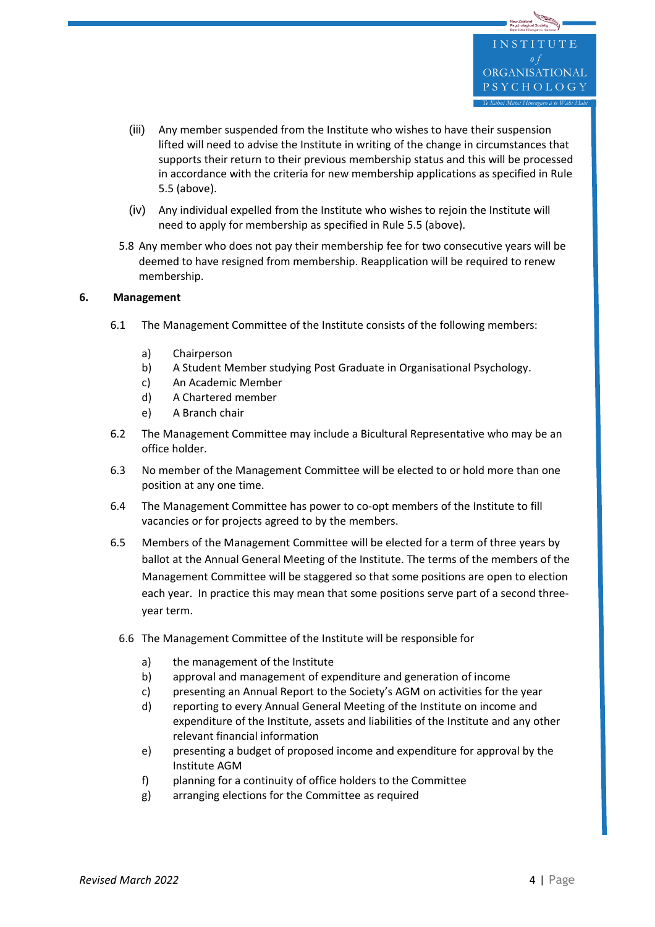- (iii) Any member suspended from the Institute who wishes to have their suspension lifted will need to advise the Institute in writing of the change in circumstances that supports their return to their previous membership status and this will be processed in accordance with the criteria for new membership applications as specified in Rule 5.5 (above).
- (iv) Any individual expelled from the Institute who wishes to rejoin the Institute will need to apply for membership as specified in Rule 5.5 (above).
- 5.8 Any member who does not pay their membership fee for two consecutive years will be deemed to have resigned from membership. Reapplication will be required to renew membership.

#### **6. Management**

- 6.1 The Management Committee of the Institute consists of the following members:
	- a) Chairperson
	- b) A Student Member studying Post Graduate in Organisational Psychology.
	- c) An Academic Member
	- d) A Chartered member
	- e) A Branch chair
- 6.2 The Management Committee may include a Bicultural Representative who may be an office holder.
- 6.3 No member of the Management Committee will be elected to or hold more than one position at any one time.
- 6.4 The Management Committee has power to co-opt members of the Institute to fill vacancies or for projects agreed to by the members.
- 6.5 Members of the Management Committee will be elected for a term of three years by ballot at the Annual General Meeting of the Institute. The terms of the members of the Management Committee will be staggered so that some positions are open to election each year. In practice this may mean that some positions serve part of a second threeyear term.
	- 6.6 The Management Committee of the Institute will be responsible for
		- a) the management of the Institute
		- b) approval and management of expenditure and generation of income
		- c) presenting an Annual Report to the Society's AGM on activities for the year
		- d) reporting to every Annual General Meeting of the Institute on income and expenditure of the Institute, assets and liabilities of the Institute and any other relevant financial information
		- e) presenting a budget of proposed income and expenditure for approval by the Institute AGM
		- f) planning for a continuity of office holders to the Committee
		- g) arranging elections for the Committee as required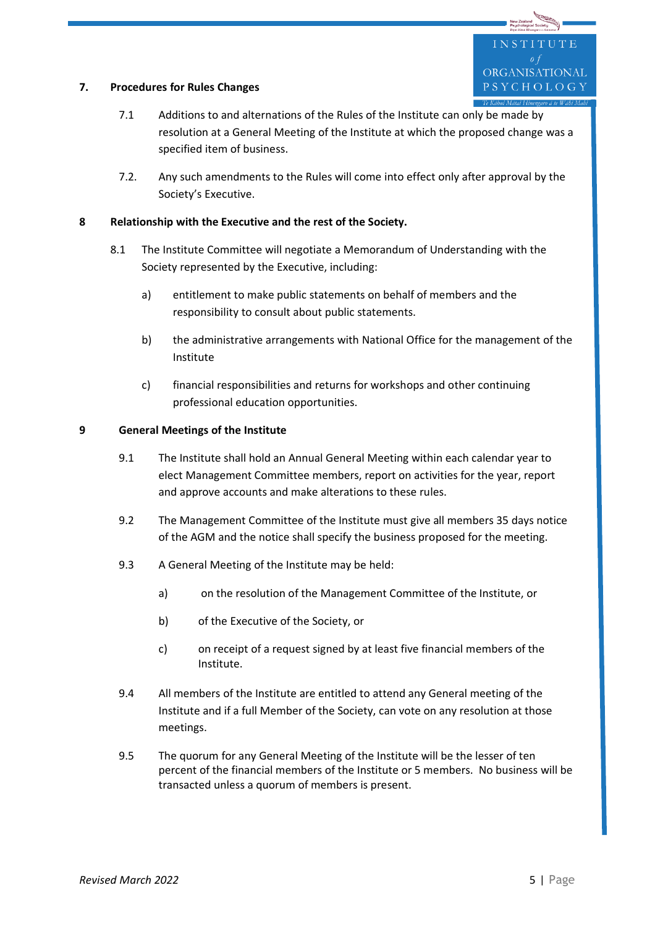#### **7. Procedures for Rules Changes**

- 7.1 Additions to and alternations of the Rules of the Institute can only be made by resolution at a General Meeting of the Institute at which the proposed change was a specified item of business.
- 7.2. Any such amendments to the Rules will come into effect only after approval by the Society's Executive.

## **8 Relationship with the Executive and the rest of the Society.**

- 8.1 The Institute Committee will negotiate a Memorandum of Understanding with the Society represented by the Executive, including:
	- a) entitlement to make public statements on behalf of members and the responsibility to consult about public statements.
	- b) the administrative arrangements with National Office for the management of the Institute
	- c) financial responsibilities and returns for workshops and other continuing professional education opportunities.

#### **9 General Meetings of the Institute**

- 9.1 The Institute shall hold an Annual General Meeting within each calendar year to elect Management Committee members, report on activities for the year, report and approve accounts and make alterations to these rules.
- 9.2 The Management Committee of the Institute must give all members 35 days notice of the AGM and the notice shall specify the business proposed for the meeting.
- 9.3 A General Meeting of the Institute may be held:
	- a) on the resolution of the Management Committee of the Institute, or
	- b) of the Executive of the Society, or
	- c) on receipt of a request signed by at least five financial members of the Institute.
- 9.4 All members of the Institute are entitled to attend any General meeting of the Institute and if a full Member of the Society, can vote on any resolution at those meetings.
- 9.5 The quorum for any General Meeting of the Institute will be the lesser of ten percent of the financial members of the Institute or 5 members. No business will be transacted unless a quorum of members is present.